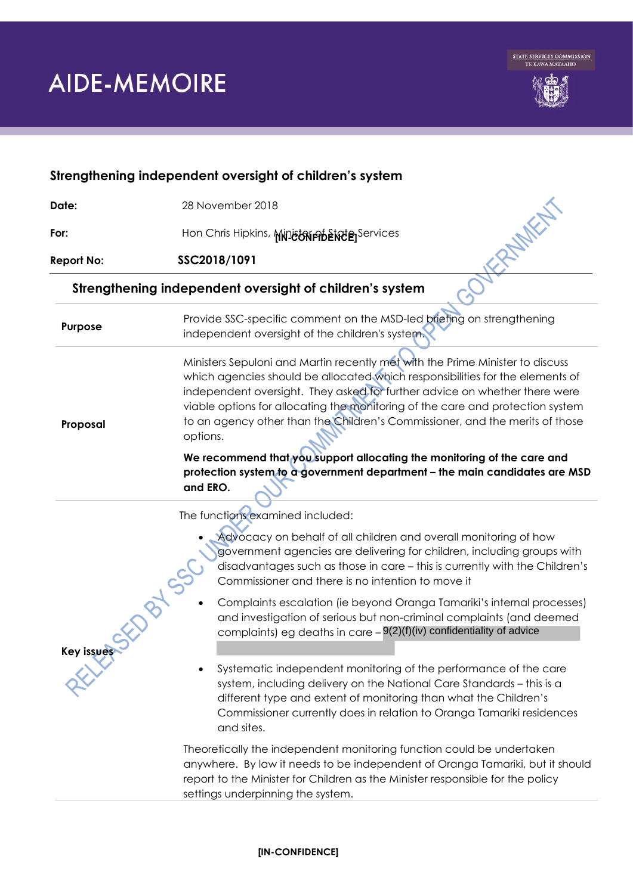

| Strengthening independent oversight of children's system |                                                                                                                                                                                                                                                                                                                                                                                                                                                                                                                                                                                                                                                                                                                                                                                                                                                                                                                                                                                                                  |
|----------------------------------------------------------|------------------------------------------------------------------------------------------------------------------------------------------------------------------------------------------------------------------------------------------------------------------------------------------------------------------------------------------------------------------------------------------------------------------------------------------------------------------------------------------------------------------------------------------------------------------------------------------------------------------------------------------------------------------------------------------------------------------------------------------------------------------------------------------------------------------------------------------------------------------------------------------------------------------------------------------------------------------------------------------------------------------|
| Date:                                                    | 28 November 2018                                                                                                                                                                                                                                                                                                                                                                                                                                                                                                                                                                                                                                                                                                                                                                                                                                                                                                                                                                                                 |
| For:                                                     | 2NMKH<br>Hon Chris Hipkins, Ministriphenete Services                                                                                                                                                                                                                                                                                                                                                                                                                                                                                                                                                                                                                                                                                                                                                                                                                                                                                                                                                             |
| <b>Report No:</b>                                        | SSC2018/1091                                                                                                                                                                                                                                                                                                                                                                                                                                                                                                                                                                                                                                                                                                                                                                                                                                                                                                                                                                                                     |
| Strengthening independent oversight of children's system |                                                                                                                                                                                                                                                                                                                                                                                                                                                                                                                                                                                                                                                                                                                                                                                                                                                                                                                                                                                                                  |
| Purpose                                                  | Provide SSC-specific comment on the MSD-led briefing on strengthening<br>independent oversight of the children's system.                                                                                                                                                                                                                                                                                                                                                                                                                                                                                                                                                                                                                                                                                                                                                                                                                                                                                         |
| Proposal                                                 | Ministers Sepuloni and Martin recently met with the Prime Minister to discuss<br>which agencies should be allocated which responsibilities for the elements of<br>independent oversight. They asked for further advice on whether there were<br>viable options for allocating the monitoring of the care and protection system<br>to an agency other than the Children's Commissioner, and the merits of those<br>options.<br>We recommend that you support allocating the monitoring of the care and<br>protection system to a government department - the main candidates are MSD<br>and ERO.                                                                                                                                                                                                                                                                                                                                                                                                                  |
| Key issues                                               | The functions examined included:<br>Advocacy on behalf of all children and overall monitoring of how<br>government agencies are delivering for children, including groups with<br>disadvantages such as those in care - this is currently with the Children's<br>Commissioner and there is no intention to move it<br>Complaints escalation (ie beyond Oranga Tamariki's internal processes)<br>and investigation of serious but non-criminal complaints (and deemed<br>complaints) eg deaths in care $-9(2)(f)(iv)$ confidentiality of advice<br>Systematic independent monitoring of the performance of the care<br>system, including delivery on the National Care Standards - this is a<br>different type and extent of monitoring than what the Children's<br>Commissioner currently does in relation to Oranga Tamariki residences<br>and sites.<br>Theoretically the independent monitoring function could be undertaken<br>anywhere. By law it needs to be independent of Oranga Tamariki, but it should |
|                                                          | report to the Minister for Children as the Minister responsible for the policy<br>settings underpinning the system.                                                                                                                                                                                                                                                                                                                                                                                                                                                                                                                                                                                                                                                                                                                                                                                                                                                                                              |

## **[IN-CONFIDENCE]**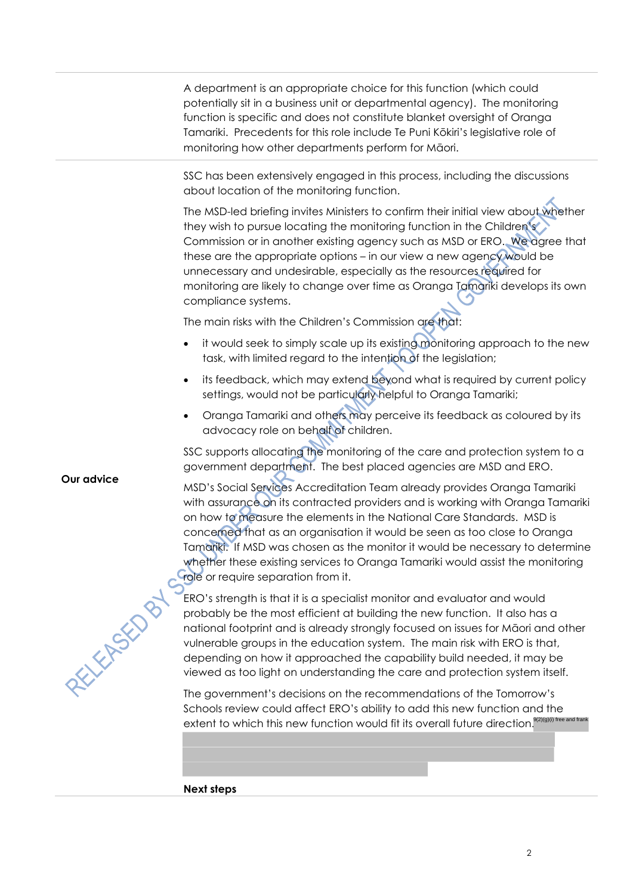A department is an appropriate choice for this function (which could potentially sit in a business unit or departmental agency). The monitoring function is specific and does not constitute blanket oversight of Oranga Tamariki. Precedents for this role include Te Puni Kōkiri's legislative role of monitoring how other departments perform for Māori.

SSC has been extensively engaged in this process, including the discussions about location of the monitoring function.

The MSD-led briefing invites Ministers to confirm their initial view about whether they wish to pursue locating the monitoring function in the Children's Commission or in another existing agency such as MSD or ERO. We agree that these are the appropriate options – in our view a new agency would be unnecessary and undesirable, especially as the resources required for monitoring are likely to change over time as Oranga Tamariki develops its own compliance systems.

The main risks with the Children's Commission are that:

- it would seek to simply scale up its existing monitoring approach to the new task, with limited regard to the intention of the legislation;
- its feedback, which may extend beyond what is required by current policy settings, would not be particularly helpful to Oranga Tamariki;
- Oranga Tamariki and others may perceive its feedback as coloured by its advocacy role on behalf of children.

SSC supports allocating the monitoring of the care and protection system to a government department. The best placed agencies are MSD and ERO.

MSD's Social Services Accreditation Team already provides Oranga Tamariki with assurance on its contracted providers and is working with Oranga Tamariki on how to measure the elements in the National Care Standards. MSD is concerned that as an organisation it would be seen as too close to Oranga Tamariki. If MSD was chosen as the monitor it would be necessary to determine whether these existing services to Oranga Tamariki would assist the monitoring role or require separation from it.

ERO's strength is that it is a specialist monitor and evaluator and would probably be the most efficient at building the new function. It also has a national footprint and is already strongly focused on issues for Māori and other vulnerable groups in the education system. The main risk with ERO is that, depending on how it approached the capability build needed, it may be viewed as too light on understanding the care and protection system itself.

The government's decisions on the recommendations of the Tomorrow's Schools review could affect ERO's ability to add this new function and the extent to which this new function would fit its overall future direction.<sup>9(2)(g)(i) free and frank</sup>

**Next steps**

**Our advice**